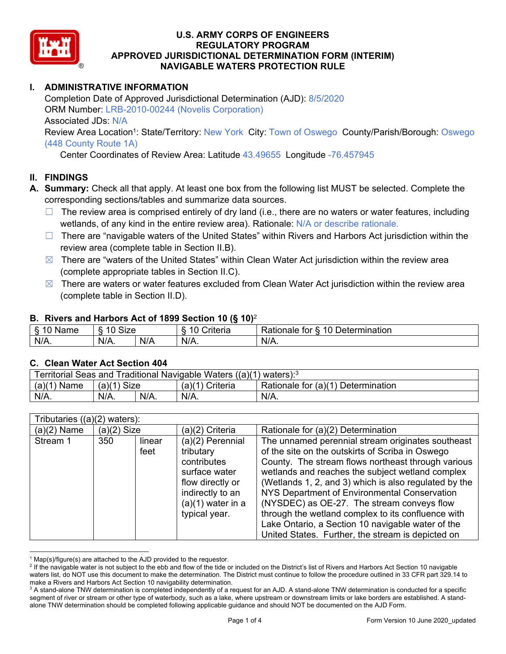

## **I. ADMINISTRATIVE INFORMATION**

Completion Date of Approved Jurisdictional Determination (AJD): 8/5/2020 ORM Number: LRB-2010-00244 (Novelis Corporation) Associated JDs: N/A Review Area Location<sup>1</sup>: State/Territory: New York City: Town of Oswego County/Parish/Borough: Oswego (448 County Route 1A)

Center Coordinates of Review Area: Latitude 43.49655 Longitude -76.457945

## **II. FINDINGS**

- **A. Summary:** Check all that apply. At least one box from the following list MUST be selected. Complete the corresponding sections/tables and summarize data sources.
	- $\Box$  The review area is comprised entirely of dry land (i.e., there are no waters or water features, including wetlands, of any kind in the entire review area). Rationale: N/A or describe rationale.
	- □ There are "navigable waters of the United States" within Rivers and Harbors Act jurisdiction within the review area (complete table in Section II.B).
	- $\boxtimes$  There are "waters of the United States" within Clean Water Act jurisdiction within the review area (complete appropriate tables in Section II.C).
	- $\boxtimes$  There are waters or water features excluded from Clean Water Act jurisdiction within the review area (complete table in Section II.D).

#### **B. Rivers and Harbors Act of 1899 Section 10 (§ 10)**<sup>2</sup>

|         |                                |     | $\cdot$  |                                                                  |
|---------|--------------------------------|-----|----------|------------------------------------------------------------------|
| Name    | $\sim$<br>$\sim$<br>Size<br>∼. |     | `rıteria | 10<br>$\blacksquare$<br>⊃etermınatıon<br><b>kationale</b><br>tor |
| $N/A$ . | $N/A$ .                        | N/A | $N/A$ .  | $N/A$ .                                                          |

#### **C. Clean Water Act Section 404**

| Territorial Seas and Traditional Navigable Waters $((a)(1)$ waters): <sup>3</sup> |                                                                          |         |      |         |  |  |
|-----------------------------------------------------------------------------------|--------------------------------------------------------------------------|---------|------|---------|--|--|
| $(a)(1)$ Name                                                                     | $(a)(1)$ Size<br>Rationale for (a)(1) Determination<br>$(a)(1)$ Criteria |         |      |         |  |  |
| $N/A$ .                                                                           | $N/A$ .                                                                  | $N/A$ . | N/A. | $N/A$ . |  |  |

| Tributaries $((a)(2)$ waters): |                                                                                                                                                                        |  |                   |                                                                                                                                                                                                                                                                                                                                                                                                                                                                                                                                        |  |
|--------------------------------|------------------------------------------------------------------------------------------------------------------------------------------------------------------------|--|-------------------|----------------------------------------------------------------------------------------------------------------------------------------------------------------------------------------------------------------------------------------------------------------------------------------------------------------------------------------------------------------------------------------------------------------------------------------------------------------------------------------------------------------------------------------|--|
| $(a)(2)$ Name                  | $(a)(2)$ Size                                                                                                                                                          |  | $(a)(2)$ Criteria | Rationale for (a)(2) Determination                                                                                                                                                                                                                                                                                                                                                                                                                                                                                                     |  |
| Stream 1                       | (a)(2) Perennial<br>350<br>linear<br>feet<br>tributary<br>contributes<br>surface water<br>flow directly or<br>indirectly to an<br>$(a)(1)$ water in a<br>typical year. |  |                   | The unnamed perennial stream originates southeast<br>of the site on the outskirts of Scriba in Oswego<br>County. The stream flows northeast through various<br>wetlands and reaches the subject wetland complex<br>(Wetlands 1, 2, and 3) which is also regulated by the<br>NYS Department of Environmental Conservation<br>(NYSDEC) as OE-27. The stream conveys flow<br>through the wetland complex to its confluence with<br>Lake Ontario, a Section 10 navigable water of the<br>United States. Further, the stream is depicted on |  |

 $\overline{a}$  $^1$  Map(s)/figure(s) are attached to the AJD provided to the requestor.<br><sup>2</sup> If the navigable water is not subject to the ebb and flow of the tide o

<sup>&</sup>lt;sup>2</sup> If the navigable water is not subject to the ebb and flow of the tide or included on the District's list of Rivers and Harbors Act Section 10 navigable waters list, do NOT use this document to make the determination. The District must continue to follow the procedure outlined in 33 CFR part 329.14 to make a Rivers and Harbors Act Section 10 navigability determination.

 $3$  A stand-alone TNW determination is completed independently of a request for an AJD. A stand-alone TNW determination is conducted for a specific segment of river or stream or other type of waterbody, such as a lake, where upstream or downstream limits or lake borders are established. A standalone TNW determination should be completed following applicable guidance and should NOT be documented on the AJD Form.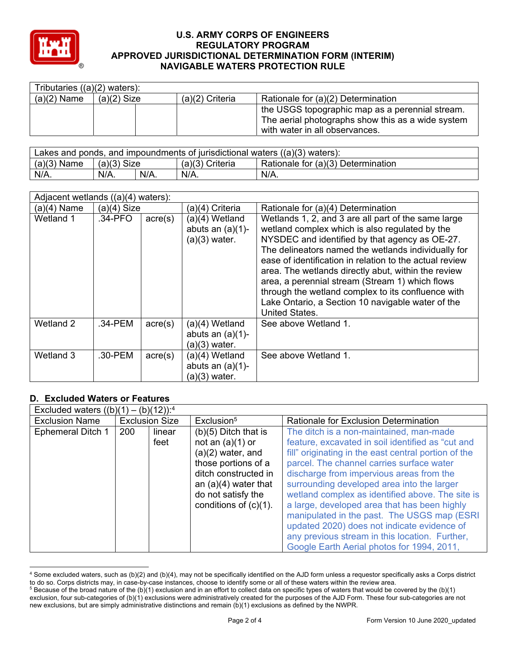

| Tributaries $((a)(2)$ waters): |               |  |                   |                                                   |  |  |  |
|--------------------------------|---------------|--|-------------------|---------------------------------------------------|--|--|--|
| $(a)(2)$ Name                  | $(a)(2)$ Size |  | $(a)(2)$ Criteria | Rationale for (a)(2) Determination                |  |  |  |
|                                |               |  |                   | the USGS topographic map as a perennial stream.   |  |  |  |
|                                |               |  |                   | The aerial photographs show this as a wide system |  |  |  |
|                                |               |  |                   | with water in all observances.                    |  |  |  |

| Lakes and ponds, and impoundments of jurisdictional waters $((a)(3)$ waters): |                                                                          |         |      |         |  |  |
|-------------------------------------------------------------------------------|--------------------------------------------------------------------------|---------|------|---------|--|--|
| $(a)(3)$ Name                                                                 | Rationale for (a)(3) Determination<br>$(a)(3)$ Size<br>$(a)(3)$ Criteria |         |      |         |  |  |
| $N/A$ .                                                                       | $N/A$ .                                                                  | $N/A$ . | N/A. | $N/A$ . |  |  |

|               | Adjacent wetlands ((a)(4)<br>waters): |                  |                                                            |                                                                                                                                                                                                                                                                                                                                                                                                                                                                                                                         |  |  |  |
|---------------|---------------------------------------|------------------|------------------------------------------------------------|-------------------------------------------------------------------------------------------------------------------------------------------------------------------------------------------------------------------------------------------------------------------------------------------------------------------------------------------------------------------------------------------------------------------------------------------------------------------------------------------------------------------------|--|--|--|
| $(a)(4)$ Name | $(a)(4)$ Size                         |                  | (a)(4) Criteria                                            | Rationale for (a)(4) Determination                                                                                                                                                                                                                                                                                                                                                                                                                                                                                      |  |  |  |
| Wetland 1     | .34-PFO                               | $\text{acre}(s)$ | $(a)(4)$ Wetland<br>abuts an $(a)(1)$ -<br>$(a)(3)$ water. | Wetlands 1, 2, and 3 are all part of the same large<br>wetland complex which is also regulated by the<br>NYSDEC and identified by that agency as OE-27.<br>The delineators named the wetlands individually for<br>ease of identification in relation to the actual review<br>area. The wetlands directly abut, within the review<br>area, a perennial stream (Stream 1) which flows<br>through the wetland complex to its confluence with<br>Lake Ontario, a Section 10 navigable water of the<br><b>United States.</b> |  |  |  |
| Wetland 2     | .34-PEM                               | $\text{acre}(s)$ | $(a)(4)$ Wetland<br>abuts an $(a)(1)$ -<br>$(a)(3)$ water. | See above Wetland 1.                                                                                                                                                                                                                                                                                                                                                                                                                                                                                                    |  |  |  |
| Wetland 3     | .30-PEM                               | $\text{acre}(s)$ | $(a)(4)$ Wetland<br>abuts an $(a)(1)$ -<br>$(a)(3)$ water. | See above Wetland 1.                                                                                                                                                                                                                                                                                                                                                                                                                                                                                                    |  |  |  |

## **D. Excluded Waters or Features**

| Excluded waters $((b)(1) - (b)(12))$ : <sup>4</sup> |                       |                                                                                                                                                                                              |                                                                                                                                                                                                                                                                                                                                                 |  |  |  |  |
|-----------------------------------------------------|-----------------------|----------------------------------------------------------------------------------------------------------------------------------------------------------------------------------------------|-------------------------------------------------------------------------------------------------------------------------------------------------------------------------------------------------------------------------------------------------------------------------------------------------------------------------------------------------|--|--|--|--|
| <b>Exclusion Name</b>                               | <b>Exclusion Size</b> |                                                                                                                                                                                              | <b>Rationale for Exclusion Determination</b>                                                                                                                                                                                                                                                                                                    |  |  |  |  |
| <b>Ephemeral Ditch 1</b>                            | 200<br>linear<br>feet | Exclusion <sup>5</sup><br>$(b)(5)$ Ditch that is<br>not an $(a)(1)$ or<br>$(a)(2)$ water, and<br>those portions of a<br>ditch constructed in<br>an $(a)(4)$ water that<br>do not satisfy the | The ditch is a non-maintained, man-made<br>feature, excavated in soil identified as "cut and<br>fill" originating in the east central portion of the<br>parcel. The channel carries surface water<br>discharge from impervious areas from the<br>surrounding developed area into the larger<br>wetland complex as identified above. The site is |  |  |  |  |
|                                                     |                       | conditions of $(c)(1)$ .                                                                                                                                                                     | a large, developed area that has been highly<br>manipulated in the past. The USGS map (ESRI<br>updated 2020) does not indicate evidence of<br>any previous stream in this location. Further,<br>Google Earth Aerial photos for 1994, 2011,                                                                                                      |  |  |  |  |

<sup>4</sup> Some excluded waters, such as (b)(2) and (b)(4), may not be specifically identified on the AJD form unless a requestor specifically asks a Corps district to do so. Corps districts may, in case-by-case instances, choose to identify some or all of these waters within the review area. 5 <sup>5</sup> Because of the broad nature of the (b)(1) exclusion and in an effort to collect data on specific types of waters that would be covered by the (b)(1)

exclusion, four sub-categories of (b)(1) exclusions were administratively created for the purposes of the AJD Form. These four sub-categories are not new exclusions, but are simply administrative distinctions and remain (b)(1) exclusions as defined by the NWPR.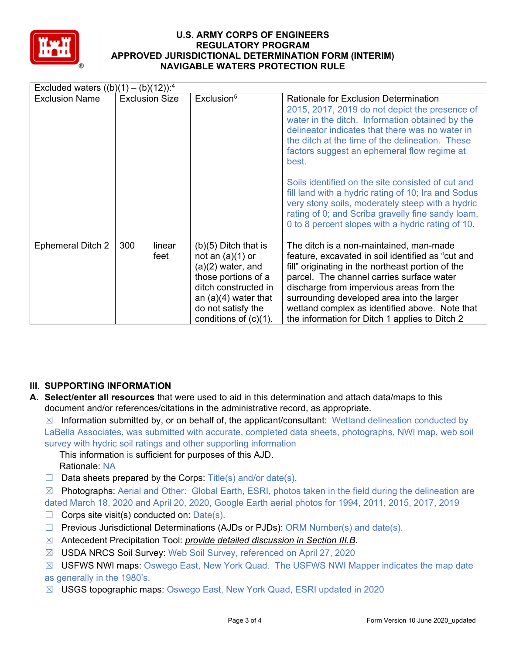

| Excluded waters $((b)(1) - (b)(12))$ : <sup>4</sup> |     |                       |                                                                                                                                                                                                |                                                                                                                                                                                                                                                                                                                                                                                              |  |  |  |
|-----------------------------------------------------|-----|-----------------------|------------------------------------------------------------------------------------------------------------------------------------------------------------------------------------------------|----------------------------------------------------------------------------------------------------------------------------------------------------------------------------------------------------------------------------------------------------------------------------------------------------------------------------------------------------------------------------------------------|--|--|--|
| <b>Exclusion Name</b>                               |     | <b>Exclusion Size</b> | Exclusion <sup>5</sup>                                                                                                                                                                         | Rationale for Exclusion Determination                                                                                                                                                                                                                                                                                                                                                        |  |  |  |
|                                                     |     |                       |                                                                                                                                                                                                | 2015, 2017, 2019 do not depict the presence of<br>water in the ditch. Information obtained by the<br>delineator indicates that there was no water in<br>the ditch at the time of the delineation. These<br>factors suggest an ephemeral flow regime at<br>best.                                                                                                                              |  |  |  |
|                                                     |     |                       |                                                                                                                                                                                                | Soils identified on the site consisted of cut and<br>fill land with a hydric rating of 10; Ira and Sodus<br>very stony soils, moderately steep with a hydric<br>rating of 0; and Scriba gravelly fine sandy loam,<br>0 to 8 percent slopes with a hydric rating of 10.                                                                                                                       |  |  |  |
| <b>Ephemeral Ditch 2</b>                            | 300 | linear<br>feet        | $(b)(5)$ Ditch that is<br>not an $(a)(1)$ or<br>$(a)(2)$ water, and<br>those portions of a<br>ditch constructed in<br>an $(a)(4)$ water that<br>do not satisfy the<br>conditions of $(c)(1)$ . | The ditch is a non-maintained, man-made<br>feature, excavated in soil identified as "cut and<br>fill" originating in the northeast portion of the<br>parcel. The channel carries surface water<br>discharge from impervious areas from the<br>surrounding developed area into the larger<br>wetland complex as identified above. Note that<br>the information for Ditch 1 applies to Ditch 2 |  |  |  |

# **III. SUPPORTING INFORMATION**

**A. Select/enter all resources** that were used to aid in this determination and attach data/maps to this document and/or references/citations in the administrative record, as appropriate.

 $\boxtimes$  Information submitted by, or on behalf of, the applicant/consultant: Wetland delineation conducted by LaBella Associates, was submitted with accurate, completed data sheets, photographs, NWI map, web soil survey with hydric soil ratings and other supporting information

This information is sufficient for purposes of this AJD. Rationale: NA

 $\Box$  Data sheets prepared by the Corps: Title(s) and/or date(s).

 $\boxtimes$  Photographs: Aerial and Other: Global Earth, ESRI, photos taken in the field during the delineation are dated March 18, 2020 and April 20, 2020, Google Earth aerial photos for 1994, 2011, 2015, 2017, 2019  $\Box$  Corps site visit(s) conducted on: Date(s).

- ☐ Previous Jurisdictional Determinations (AJDs or PJDs): ORM Number(s) and date(s).
- ☒ Antecedent Precipitation Tool: *provide detailed discussion in Section III.B*.
- ☒ USDA NRCS Soil Survey: Web Soil Survey, referenced on April 27, 2020
- ☒ USFWS NWI maps: Oswego East, New York Quad. The USFWS NWI Mapper indicates the map date as generally in the 1980's.
- ☒ USGS topographic maps: Oswego East, New York Quad, ESRI updated in 2020